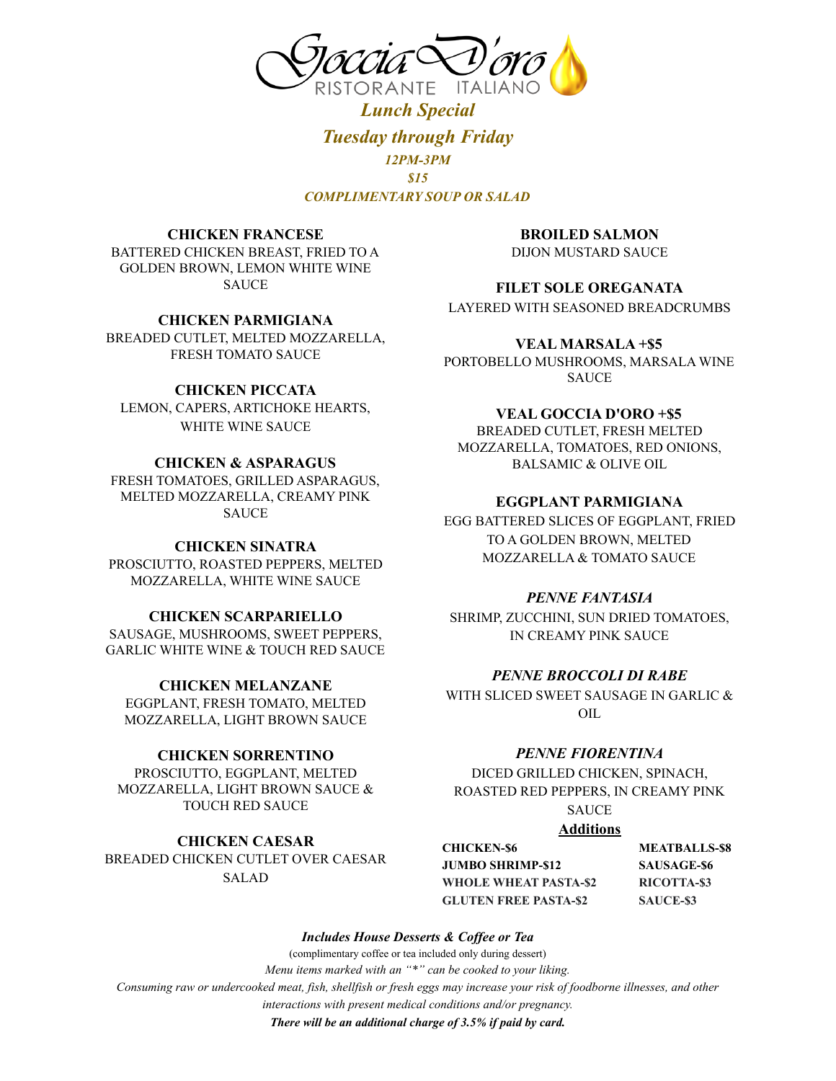

*Lunch Special Tuesday through Friday 12PM-3PM \$15 COMPLIMENTARY SOUP OR SALAD*

#### **CHICKEN FRANCESE**

BATTERED CHICKEN BREAST, FRIED TO A GOLDEN BROWN, LEMON WHITE WINE SAUCE

#### **CHICKEN PARMIGIANA**

BREADED CUTLET, MELTED MOZZARELLA, FRESH TOMATO SAUCE

## **CHICKEN PICCATA**

LEMON, CAPERS, ARTICHOKE HEARTS, WHITE WINE SAUCE

## **CHICKEN & ASPARAGUS**

FRESH TOMATOES, GRILLED ASPARAGUS, MELTED MOZZARELLA, CREAMY PINK **SAUCE** 

### **CHICKEN SINATRA**

PROSCIUTTO, ROASTED PEPPERS, MELTED MOZZARELLA, WHITE WINE SAUCE

### **CHICKEN SCARPARIELLO**

SAUSAGE, MUSHROOMS, SWEET PEPPERS, GARLIC WHITE WINE & TOUCH RED SAUCE

## **CHICKEN MELANZANE**

EGGPLANT, FRESH TOMATO, MELTED MOZZARELLA, LIGHT BROWN SAUCE

### **CHICKEN SORRENTINO**

PROSCIUTTO, EGGPLANT, MELTED MOZZARELLA, LIGHT BROWN SAUCE & TOUCH RED SAUCE

### **CHICKEN CAESAR** BREADED CHICKEN CUTLET OVER CAESAR

SALAD

**BROILED SALMON** DIJON MUSTARD SAUCE

### **FILET SOLE OREGANATA**

LAYERED WITH SEASONED BREADCRUMBS

#### **VEAL MARSALA +\$5**

PORTOBELLO MUSHROOMS, MARSALA WINE SAUCE

## **VEAL GOCCIA D'ORO +\$5**

BREADED CUTLET, FRESH MELTED MOZZARELLA, TOMATOES, RED ONIONS, BALSAMIC & OLIVE OIL

## **EGGPLANT PARMIGIANA**

EGG BATTERED SLICES OF EGGPLANT, FRIED TO A GOLDEN BROWN, MELTED MOZZARELLA & TOMATO SAUCE

### *PENNE FANTASIA*

SHRIMP, ZUCCHINI, SUN DRIED TOMATOES, IN CREAMY PINK SAUCE

## *PENNE BROCCOLI DI RABE*

WITH SLICED SWEET SAUSAGE IN GARLIC & OIL

#### *PENNE FIORENTINA*

DICED GRILLED CHICKEN, SPINACH, ROASTED RED PEPPERS, IN CREAMY PINK SAUCE

#### **Additions**

**CHICKEN-\$6 MEATBALLS-\$8 JUMBO SHRIMP-\$12 SAUSAGE-\$6 WHOLE WHEAT PASTA-\$2 RICOTTA-\$3 GLUTEN FREE PASTA-\$2 SAUCE-\$3**

*Includes House Desserts & Cof ee or Tea*

(complimentary coffee or tea included only during dessert)

*Menu items marked with an "\*" can be cooked to your liking.*

*Consuming raw or undercooked meat, fish, shellfish or fresh eggs may increase your risk of foodborne illnesses, and other*

*interactions with present medical conditions and/or pregnancy.*

*There will be an additional charge of 3.5% if paid by card.*